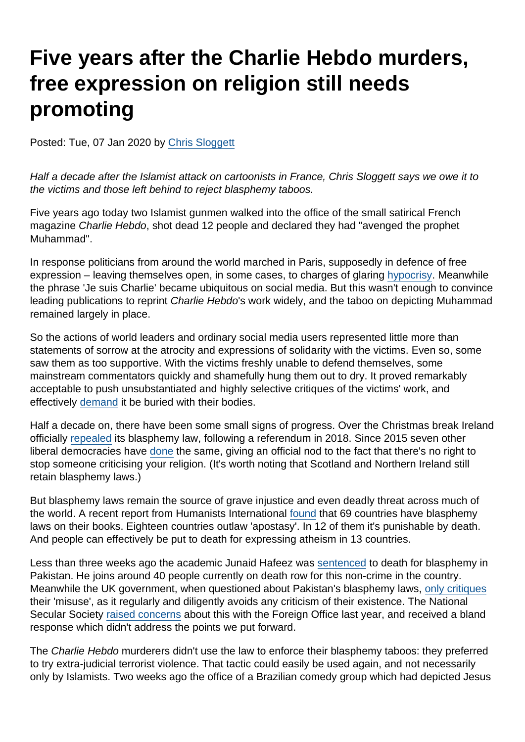# Five years after the Charlie Hebdo murders, free expression on religion still needs promoting

Posted: Tue, 07 Jan 2020 by [Chris Sloggett](https://www.secularism.org.uk/opinion/authors/968)

Half a decade after the Islamist attack on cartoonists in France, Chris Sloggett says we owe it to the victims and those left behind to reject blasphemy taboos.

Five years ago today two Islamist gunmen walked into the office of the small satirical French magazine Charlie Hebdo, shot dead 12 people and declared they had "avenged the prophet Muhammad".

In response politicians from around the world marched in Paris, supposedly in defence of free expression – leaving themselves open, in some cases, to charges of glaring [hypocrisy](https://www.washingtonpost.com/news/worldviews/wp/2015/01/11/the-free-speech-hypocrisy-of-some-world-leaders-marching-in-paris/). Meanwhile the phrase 'Je suis Charlie' became ubiquitous on social media. But this wasn't enough to convince leading publications to reprint Charlie Hebdo's work widely, and the taboo on depicting Muhammad remained largely in place.

So the actions of world leaders and ordinary social media users represented little more than statements of sorrow at the atrocity and expressions of solidarity with the victims. Even so, some saw them as too supportive. With the victims freshly unable to defend themselves, some mainstream commentators quickly and shamefully hung them out to dry. It proved remarkably acceptable to push unsubstantiated and highly selective critiques of the victims' work, and effectively [demand](https://www.secularism.org.uk/opinion/2018/01/lets-point-out-that-the-je-ne-suis-pas-charlie-brigade-are-helping-the-terrorists-win) it be buried with their bodies.

Half a decade on, there have been some small signs of progress. Over the Christmas break Ireland officially [repealed](https://twitter.com/Stephenmevans1/status/1213075462194417664) its blasphemy law, following a referendum in 2018. Since 2015 seven other liberal democracies have [done](https://end-blasphemy-laws.org/2019/03/congratulations-new-zealand-seventh-country-repeal-blasphemy-since-2015/) the same, giving an official nod to the fact that there's no right to stop someone criticising your religion. (It's worth noting that Scotland and Northern Ireland still retain blasphemy laws.)

But blasphemy laws remain the source of grave injustice and even deadly threat across much of the world. A recent report from Humanists International [found](https://www.secularism.org.uk/news/2019/11/blasphemy-laws-exist-in-69-countries-report-finds) that 69 countries have blasphemy laws on their books. Eighteen countries outlaw 'apostasy'. In 12 of them it's punishable by death. And people can effectively be put to death for expressing atheism in 13 countries.

Less than three weeks ago the academic Junaid Hafeez was [sentenced](https://www.bbc.co.uk/news/world-asia-50878432) to death for blasphemy in Pakistan. He joins around 40 people currently on death row for this non-crime in the country. Meanwhile the UK government, when questioned about Pakistan's blasphemy laws, [only critiques](https://www.secularism.org.uk/opinion/2019/07/why-wont-the-government-condemn-the-existence-of-pakistans-blasphemy-laws) their 'misuse', as it regularly and diligently avoids any criticism of their existence. The National Secular Society [raised concerns](https://www.secularism.org.uk/news/2019/08/nss-urges-government-to-review-its-language-on-blasphemy-laws) about this with the Foreign Office last year, and received a bland response which didn't address the points we put forward.

The Charlie Hebdo murderers didn't use the law to enforce their blasphemy taboos: they preferred to try extra-judicial terrorist violence. That tactic could easily be used again, and not necessarily only by Islamists. Two weeks ago the office of a Brazilian comedy group which had depicted Jesus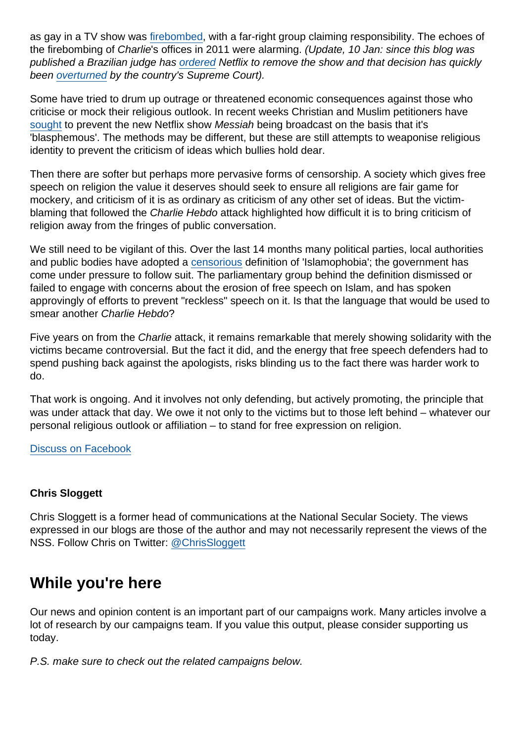as gay in a TV show was [firebombed](https://thehill.com/changing-america/enrichment/arts-culture/475978-far-right-group-claims-responsibility-for-attack-on), with a far-right group claiming responsibility. The echoes of the firebombing of Charlie's offices in 2011 were alarming. (Update, 10 Jan: since this blog was published a Brazilian judge has [ordered](https://www.bbc.co.uk/news/world-latin-america-51043272) Netflix to remove the show and that decision has quickly been [overturned](https://www.bbc.co.uk/news/world-latin-america-51058029) by the country's Supreme Court).

Some have tried to drum up outrage or threatened economic consequences against those who criticise or mock their religious outlook. In recent weeks Christian and Muslim petitioners have [sought](https://metro.co.uk/2019/12/23/netflixs-messiah-sparks-demand-show-ban-anti-islamic-blasphemous-story-11954239/) to prevent the new Netflix show Messiah being broadcast on the basis that it's 'blasphemous'. The methods may be different, but these are still attempts to weaponise religious identity to prevent the criticism of ideas which bullies hold dear.

Then there are softer but perhaps more pervasive forms of censorship. A society which gives free speech on religion the value it deserves should seek to ensure all religions are fair game for mockery, and criticism of it is as ordinary as criticism of any other set of ideas. But the victimblaming that followed the Charlie Hebdo attack highlighted how difficult it is to bring criticism of religion away from the fringes of public conversation.

We still need to be vigilant of this. Over the last 14 months many political parties, local authorities and public bodies have adopted a [censorious](https://www.secularism.org.uk/opinion/2018/11/the-gatekeepers-of-public-debate-cant-patronise-away-anti-muslim-bigotry) definition of 'Islamophobia'; the government has come under pressure to follow suit. The parliamentary group behind the definition dismissed or failed to engage with concerns about the erosion of free speech on Islam, and has spoken approvingly of efforts to prevent "reckless" speech on it. Is that the language that would be used to smear another Charlie Hebdo?

Five years on from the Charlie attack, it remains remarkable that merely showing solidarity with the victims became controversial. But the fact it did, and the energy that free speech defenders had to spend pushing back against the apologists, risks blinding us to the fact there was harder work to do.

That work is ongoing. And it involves not only defending, but actively promoting, the principle that was under attack that day. We owe it not only to the victims but to those left behind – whatever our personal religious outlook or affiliation – to stand for free expression on religion.

#### [Discuss on Facebook](https://www.facebook.com/NationalSecularSociety/posts/2699172810151053?__xts__[0]=68.ARCEE7uglIxnmbNbGq7tI6IOgQQyzJiui7oYxqrbzKTwYOymz5RHVtWAEZ2fgi-MFOUfQiLurK7ZbEddTE7Bhfu9C3CEnjyr0yLNYcQsEKMTMNbdGbl8T0sXgzNeDyM8Fro65p7EkuYfX7uY_ehzEuqqfVh_UTdJOXgFvZ8ZGRrckpTnXPay2MZFfTa8lOF3IrZAVpIihL1XfmQ32VyulWoUTRXkw-ZCb2G_OlEMCodQh-r-O_ANVNZlvenwDs9MdIUTq3gGg5x0KJkG2X2cRTmlH0FApvcwOJr-Tpvty_JX73vvi0Aq2JqyC8MS8zCcyo6dqnOTY5d-5bqaOwvOV0LyYw&__tn__=-R)

#### Chris Sloggett

Chris Sloggett is a former head of communications at the National Secular Society. The views expressed in our blogs are those of the author and may not necessarily represent the views of the NSS. Follow Chris on Twitter: [@ChrisSloggett](https://twitter.com/ChrisSloggett)

## While you're here

Our news and opinion content is an important part of our campaigns work. Many articles involve a lot of research by our campaigns team. If you value this output, please consider supporting us today.

P.S. make sure to check out the related campaigns below.